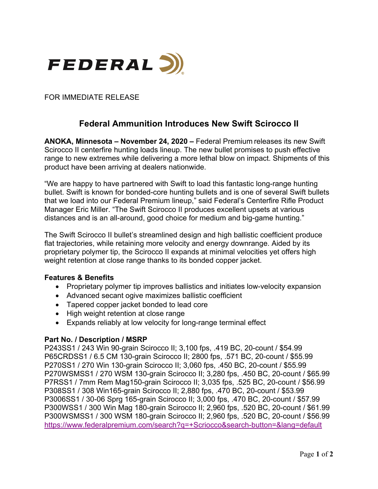

FOR IMMEDIATE RELEASE

# **Federal Ammunition Introduces New Swift Scirocco II**

**ANOKA, Minnesota – November 24, 2020 –** Federal Premium releases its new Swift Scirocco II centerfire hunting loads lineup. The new bullet promises to push effective range to new extremes while delivering a more lethal blow on impact. Shipments of this product have been arriving at dealers nationwide.

"We are happy to have partnered with Swift to load this fantastic long-range hunting bullet. Swift is known for bonded-core hunting bullets and is one of several Swift bullets that we load into our Federal Premium lineup," said Federal's Centerfire Rifle Product Manager Eric Miller. "The Swift Scirocco II produces excellent upsets at various distances and is an all-around, good choice for medium and big-game hunting."

The Swift Scirocco II bullet's streamlined design and high ballistic coefficient produce flat trajectories, while retaining more velocity and energy downrange. Aided by its proprietary polymer tip, the Scirocco II expands at minimal velocities yet offers high weight retention at close range thanks to its bonded copper jacket.

#### **Features & Benefits**

- Proprietary polymer tip improves ballistics and initiates low-velocity expansion
- Advanced secant ogive maximizes ballistic coefficient
- Tapered copper jacket bonded to lead core
- High weight retention at close range
- Expands reliably at low velocity for long-range terminal effect

### **Part No. / Description / MSRP**

P243SS1 / 243 Win 90-grain Scirocco II; 3,100 fps, .419 BC, 20-count / \$54.99 P65CRDSS1 / 6.5 CM 130-grain Scirocco II; 2800 fps, .571 BC, 20-count / \$55.99 P270SS1 / 270 Win 130-grain Scirocco II; 3,060 fps, .450 BC, 20-count / \$55.99 P270WSMSS1 / 270 WSM 130-grain Scirocco II; 3,280 fps, .450 BC, 20-count / \$65.99 P7RSS1 / 7mm Rem Mag150-grain Scirocco II; 3,035 fps, .525 BC, 20-count / \$56.99 P308SS1 / 308 Win165-grain Scirocco II; 2,880 fps, .470 BC, 20-count / \$53.99 P3006SS1 / 30-06 Sprg 165-grain Scirocco II; 3,000 fps, .470 BC, 20-count / \$57.99 P300WSS1 / 300 Win Mag 180-grain Scirocco II; 2,960 fps, .520 BC, 20-count / \$61.99 P300WSMSS1 / 300 WSM 180-grain Scirocco II; 2,960 fps, .520 BC, 20-count / \$56.99 [https://www.federalpremium.com/search?q=+Scriocco&search-button=&lang=default](https://www.federalpremium.com/search?q=Swift+Scriocco&search-button=&lang=default)